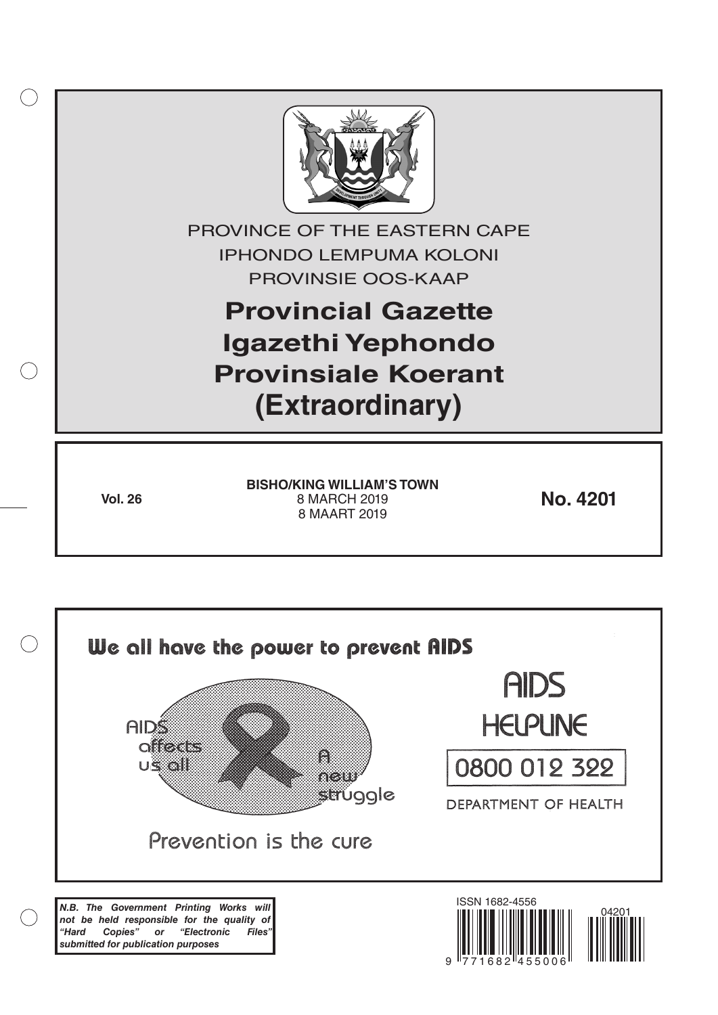

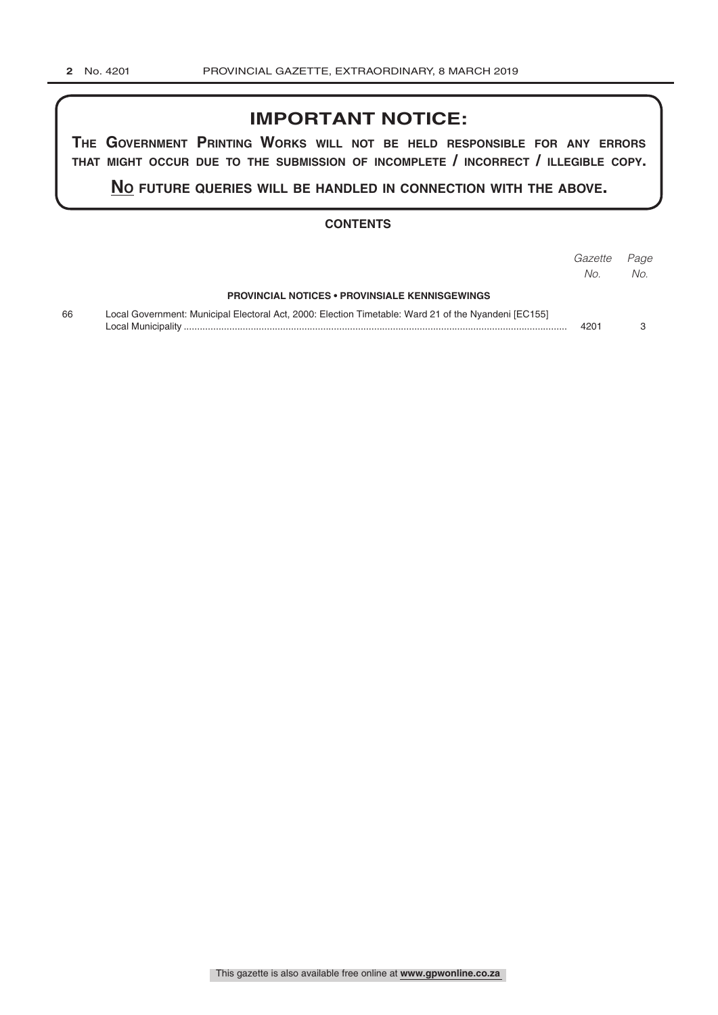# **IMPORTANT NOTICE:**

**The GovernmenT PrinTinG Works Will noT be held resPonsible for any errors ThaT miGhT occur due To The submission of incomPleTe / incorrecT / illeGible coPy.**

**no fuTure queries Will be handled in connecTion WiTh The above.**

#### **CONTENTS**

|    |                                                                                                      | Gazette<br>No. | Paae<br>No. |
|----|------------------------------------------------------------------------------------------------------|----------------|-------------|
|    | <b>PROVINCIAL NOTICES • PROVINSIALE KENNISGEWINGS</b>                                                |                |             |
| 66 | Local Government: Municipal Electoral Act, 2000: Election Timetable: Ward 21 of the Nyandeni [EC155] | 4201           |             |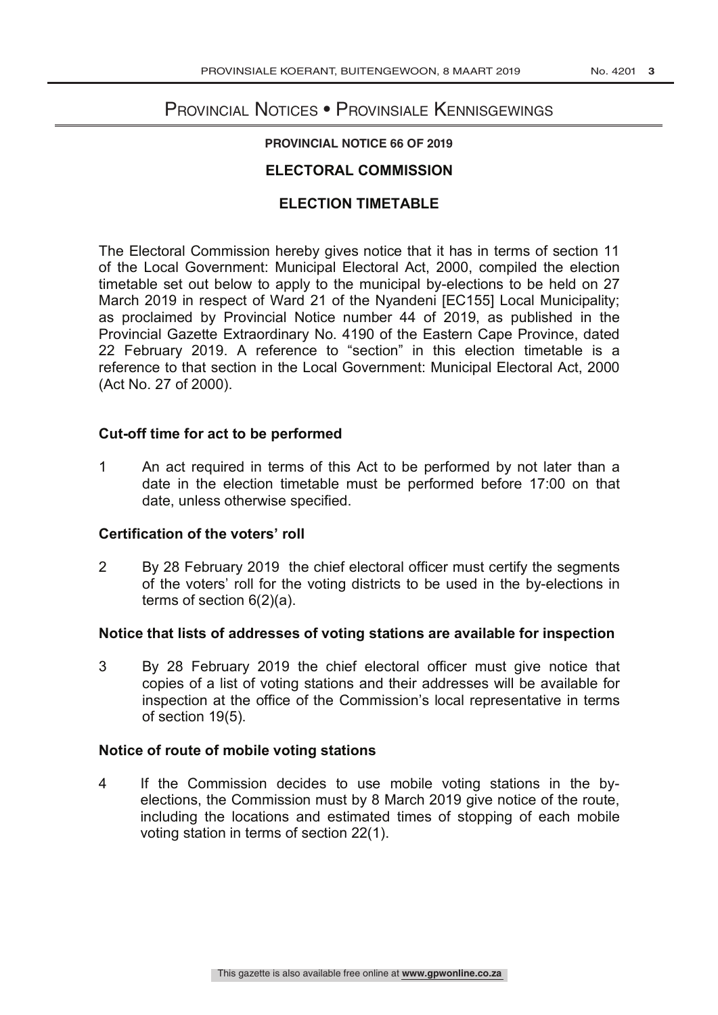## Provincial Notices • Provinsiale Kennisgewings

## **PROVINCIAL NOTICE 66 OF 2019**

## **ELECTORAL COMMISSION**

## **ELECTION TIMETABLE**

The Electoral Commission hereby gives notice that it has in terms of section 11 of the Local Government: Municipal Electoral Act, 2000, compiled the election timetable set out below to apply to the municipal by-elections to be held on 27 March 2019 in respect of Ward 21 of the Nyandeni [EC155] Local Municipality; as proclaimed by Provincial Notice number 44 of 2019, as published in the Provincial Gazette Extraordinary No. 4190 of the Eastern Cape Province, dated 22 February 2019. A reference to "section" in this election timetable is a reference to that section in the Local Government: Municipal Electoral Act, 2000 (Act No. 27 of 2000).

## **Cut-off time for act to be performed**

1 An act required in terms of this Act to be performed by not later than a date in the election timetable must be performed before 17:00 on that date, unless otherwise specified.

## **Certification of the voters' roll**

2 By 28 February 2019 the chief electoral officer must certify the segments of the voters' roll for the voting districts to be used in the by-elections in terms of section 6(2)(a).

#### **Notice that lists of addresses of voting stations are available for inspection**

3 By 28 February 2019 the chief electoral officer must give notice that copies of a list of voting stations and their addresses will be available for inspection at the office of the Commission's local representative in terms of section 19(5).

## **Notice of route of mobile voting stations**

4 If the Commission decides to use mobile voting stations in the byelections, the Commission must by 8 March 2019 give notice of the route, including the locations and estimated times of stopping of each mobile voting station in terms of section 22(1).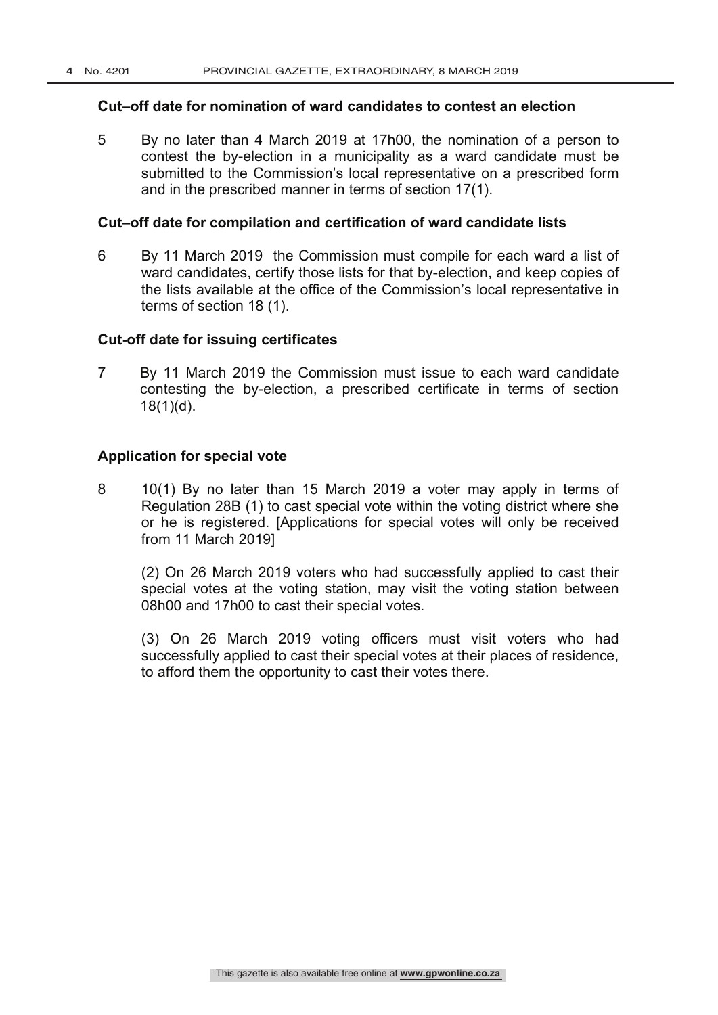#### **Cut–off date for nomination of ward candidates to contest an election**

5 By no later than 4 March 2019 at 17h00, the nomination of a person to contest the by-election in a municipality as a ward candidate must be submitted to the Commission's local representative on a prescribed form and in the prescribed manner in terms of section 17(1).

#### **Cut–off date for compilation and certification of ward candidate lists**

6 By 11 March 2019 the Commission must compile for each ward a list of ward candidates, certify those lists for that by-election, and keep copies of the lists available at the office of the Commission's local representative in terms of section 18 (1).

#### **Cut-off date for issuing certificates**

7 By 11 March 2019 the Commission must issue to each ward candidate contesting the by-election, a prescribed certificate in terms of section  $18(1)(d)$ .

#### **Application for special vote**

8 10(1) By no later than 15 March 2019 a voter may apply in terms of Regulation 28B (1) to cast special vote within the voting district where she or he is registered. [Applications for special votes will only be received from 11 March 2019]

(2) On 26 March 2019 voters who had successfully applied to cast their special votes at the voting station, may visit the voting station between 08h00 and 17h00 to cast their special votes.

(3) On 26 March 2019 voting officers must visit voters who had successfully applied to cast their special votes at their places of residence, to afford them the opportunity to cast their votes there.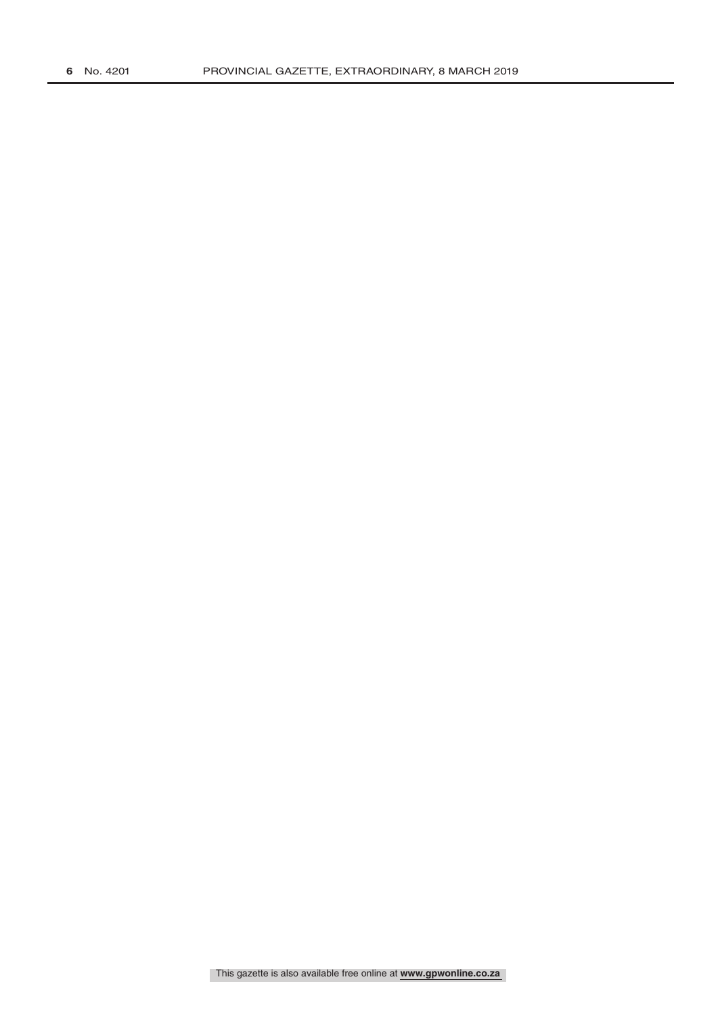This gazette is also available free online at **www.gpwonline.co.za**